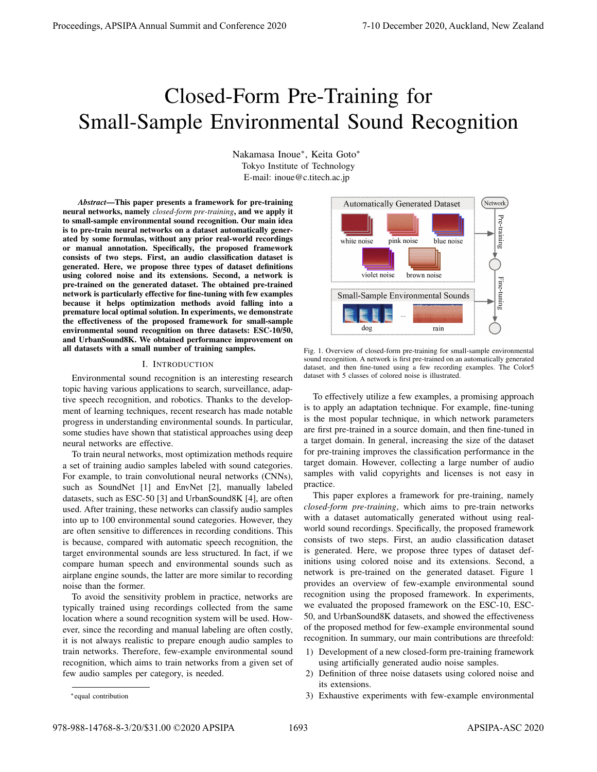# Closed-Form Pre-Training for Small-Sample Environmental Sound Recognition

Nakamasa Inoue<sup>∗</sup> , Keita Goto<sup>∗</sup> Tokyo Institute of Technology E-mail: inoue@c.titech.ac.jp

*Abstract*—This paper presents a framework for pre-training neural networks, namely *closed-form pre-training*, and we apply it to small-sample environmental sound recognition. Our main idea is to pre-train neural networks on a dataset automatically generated by some formulas, without any prior real-world recordings or manual annotation. Specifically, the proposed framework consists of two steps. First, an audio classification dataset is generated. Here, we propose three types of dataset definitions using colored noise and its extensions. Second, a network is pre-trained on the generated dataset. The obtained pre-trained network is particularly effective for fine-tuning with few examples because it helps optimization methods avoid falling into a premature local optimal solution. In experiments, we demonstrate the effectiveness of the proposed framework for small-sample environmental sound recognition on three datasets: ESC-10/50, and UrbanSound8K. We obtained performance improvement on all datasets with a small number of training samples.

#### I. INTRODUCTION

Environmental sound recognition is an interesting research topic having various applications to search, surveillance, adaptive speech recognition, and robotics. Thanks to the development of learning techniques, recent research has made notable progress in understanding environmental sounds. In particular, some studies have shown that statistical approaches using deep neural networks are effective.

To train neural networks, most optimization methods require a set of training audio samples labeled with sound categories. For example, to train convolutional neural networks (CNNs), such as SoundNet [1] and EnvNet [2], manually labeled datasets, such as ESC-50 [3] and UrbanSound8K [4], are often used. After training, these networks can classify audio samples into up to 100 environmental sound categories. However, they are often sensitive to differences in recording conditions. This is because, compared with automatic speech recognition, the target environmental sounds are less structured. In fact, if we compare human speech and environmental sounds such as airplane engine sounds, the latter are more similar to recording noise than the former.

To avoid the sensitivity problem in practice, networks are typically trained using recordings collected from the same location where a sound recognition system will be used. However, since the recording and manual labeling are often costly, it is not always realistic to prepare enough audio samples to train networks. Therefore, few-example environmental sound recognition, which aims to train networks from a given set of few audio samples per category, is needed.



Fig. 1. Overview of closed-form pre-training for small-sample environmental sound recognition. A network is first pre-trained on an automatically generated dataset, and then fine-tuned using a few recording examples. The Color5 dataset with 5 classes of colored noise is illustrated.

To effectively utilize a few examples, a promising approach is to apply an adaptation technique. For example, fine-tuning is the most popular technique, in which network parameters are first pre-trained in a source domain, and then fine-tuned in a target domain. In general, increasing the size of the dataset for pre-training improves the classification performance in the target domain. However, collecting a large number of audio samples with valid copyrights and licenses is not easy in practice.

This paper explores a framework for pre-training, namely *closed-form pre-training*, which aims to pre-train networks with a dataset automatically generated without using realworld sound recordings. Specifically, the proposed framework consists of two steps. First, an audio classification dataset is generated. Here, we propose three types of dataset definitions using colored noise and its extensions. Second, a network is pre-trained on the generated dataset. Figure 1 provides an overview of few-example environmental sound recognition using the proposed framework. In experiments, we evaluated the proposed framework on the ESC-10, ESC-50, and UrbanSound8K datasets, and showed the effectiveness of the proposed method for few-example environmental sound recognition. In summary, our main contributions are threefold:

- 1) Development of a new closed-form pre-training framework using artificially generated audio noise samples.
- 2) Definition of three noise datasets using colored noise and its extensions.
- 3) Exhaustive experiments with few-example environmental

<sup>∗</sup>equal contribution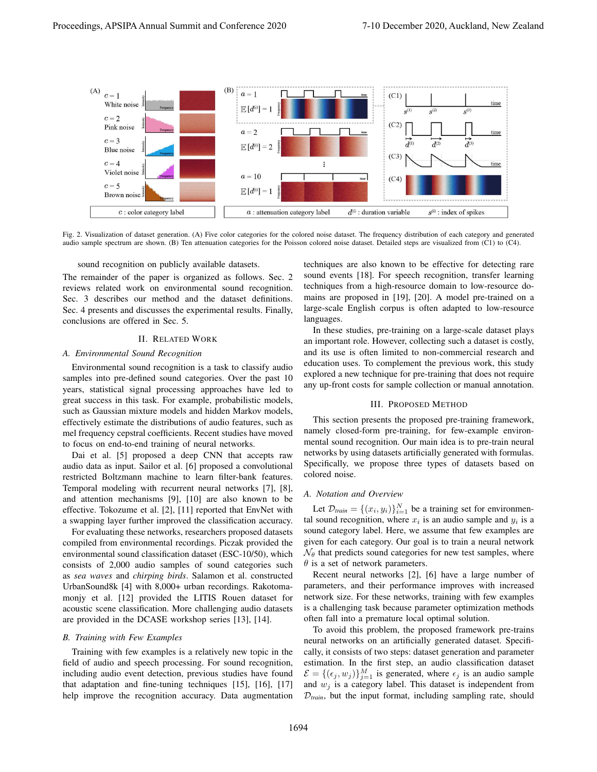

Fig. 2. Visualization of dataset generation. (A) Five color categories for the colored noise dataset. The frequency distribution of each category and generated audio sample spectrum are shown. (B) Ten attenuation categories for the Poisson colored noise dataset. Detailed steps are visualized from (C1) to (C4).

sound recognition on publicly available datasets.

The remainder of the paper is organized as follows. Sec. 2 reviews related work on environmental sound recognition. Sec. 3 describes our method and the dataset definitions. Sec. 4 presents and discusses the experimental results. Finally, conclusions are offered in Sec. 5.

### II. RELATED WORK

## *A. Environmental Sound Recognition*

Environmental sound recognition is a task to classify audio samples into pre-defined sound categories. Over the past 10 years, statistical signal processing approaches have led to great success in this task. For example, probabilistic models, such as Gaussian mixture models and hidden Markov models, effectively estimate the distributions of audio features, such as mel frequency cepstral coefficients. Recent studies have moved to focus on end-to-end training of neural networks.

Dai et al. [5] proposed a deep CNN that accepts raw audio data as input. Sailor et al. [6] proposed a convolutional restricted Boltzmann machine to learn filter-bank features. Temporal modeling with recurrent neural networks [7], [8], and attention mechanisms [9], [10] are also known to be effective. Tokozume et al. [2], [11] reported that EnvNet with a swapping layer further improved the classification accuracy.

For evaluating these networks, researchers proposed datasets compiled from environmental recordings. Piczak provided the environmental sound classification dataset (ESC-10/50), which consists of 2,000 audio samples of sound categories such as *sea waves* and *chirping birds*. Salamon et al. constructed UrbanSound8k [4] with 8,000+ urban recordings. Rakotomamonjy et al. [12] provided the LITIS Rouen dataset for acoustic scene classification. More challenging audio datasets are provided in the DCASE workshop series [13], [14].

## *B. Training with Few Examples*

Training with few examples is a relatively new topic in the field of audio and speech processing. For sound recognition, including audio event detection, previous studies have found that adaptation and fine-tuning techniques [15], [16], [17] help improve the recognition accuracy. Data augmentation techniques are also known to be effective for detecting rare sound events [18]. For speech recognition, transfer learning techniques from a high-resource domain to low-resource domains are proposed in [19], [20]. A model pre-trained on a large-scale English corpus is often adapted to low-resource languages.

In these studies, pre-training on a large-scale dataset plays an important role. However, collecting such a dataset is costly, and its use is often limited to non-commercial research and education uses. To complement the previous work, this study explored a new technique for pre-training that does not require any up-front costs for sample collection or manual annotation.

## III. PROPOSED METHOD

This section presents the proposed pre-training framework, namely closed-form pre-training, for few-example environmental sound recognition. Our main idea is to pre-train neural networks by using datasets artificially generated with formulas. Specifically, we propose three types of datasets based on colored noise.

## *A. Notation and Overview*

Let  $\mathcal{D}_{\text{train}} = \{(x_i, y_i)\}_{i=1}^N$  be a training set for environmental sound recognition, where  $x_i$  is an audio sample and  $y_i$  is a sound category label. Here, we assume that few examples are given for each category. Our goal is to train a neural network  $\mathcal{N}_{\theta}$  that predicts sound categories for new test samples, where  $\theta$  is a set of network parameters.

Recent neural networks [2], [6] have a large number of parameters, and their performance improves with increased network size. For these networks, training with few examples is a challenging task because parameter optimization methods often fall into a premature local optimal solution.

To avoid this problem, the proposed framework pre-trains neural networks on an artificially generated dataset. Specifically, it consists of two steps: dataset generation and parameter estimation. In the first step, an audio classification dataset  $\mathcal{E} = \{(\epsilon_j, w_j)\}_{j=1}^M$  is generated, where  $\epsilon_j$  is an audio sample and  $w_i$  is a category label. This dataset is independent from  $D_{train}$ , but the input format, including sampling rate, should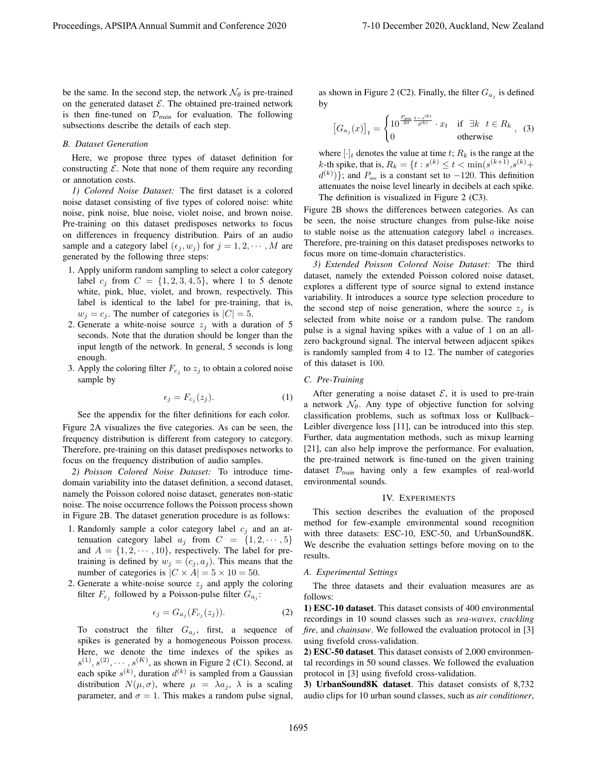be the same. In the second step, the network  $\mathcal{N}_{\theta}$  is pre-trained on the generated dataset  $\mathcal{E}$ . The obtained pre-trained network is then fine-tuned on  $\mathcal{D}_{train}$  for evaluation. The following subsections describe the details of each step.

#### *B. Dataset Generation*

Here, we propose three types of dataset definition for constructing  $E$ . Note that none of them require any recording or annotation costs.

*1) Colored Noise Dataset:* The first dataset is a colored noise dataset consisting of five types of colored noise: white noise, pink noise, blue noise, violet noise, and brown noise. Pre-training on this dataset predisposes networks to focus on differences in frequency distribution. Pairs of an audio sample and a category label  $(\epsilon_j, w_j)$  for  $j = 1, 2, \dots, M$  are generated by the following three steps:

- 1. Apply uniform random sampling to select a color category label  $c_i$  from  $C = \{1, 2, 3, 4, 5\}$ , where 1 to 5 denote white, pink, blue, violet, and brown, respectively. This label is identical to the label for pre-training, that is,  $w_j = c_j$ . The number of categories is  $|C| = 5$ .
- 2. Generate a white-noise source  $z_j$  with a duration of 5 seconds. Note that the duration should be longer than the input length of the network. In general, 5 seconds is long enough.
- 3. Apply the coloring filter  $F_{c_j}$  to  $z_j$  to obtain a colored noise sample by

$$
\epsilon_j = F_{c_j}(z_j). \tag{1}
$$

See the appendix for the filter definitions for each color.

Figure 2A visualizes the five categories. As can be seen, the frequency distribution is different from category to category. Therefore, pre-training on this dataset predisposes networks to focus on the frequency distribution of audio samples.

*2) Poisson Colored Noise Dataset:* To introduce timedomain variability into the dataset definition, a second dataset, namely the Poisson colored noise dataset, generates non-static noise. The noise occurrence follows the Poisson process shown in Figure 2B. The dataset generation procedure is as follows:

- 1. Randomly sample a color category label  $c_i$  and an attenuation category label  $a_j$  from  $C = \{1, 2, \dots, 5\}$ and  $A = \{1, 2, \dots, 10\}$ , respectively. The label for pretraining is defined by  $w_j = (c_j, a_j)$ . This means that the number of categories is  $|C \times A| = 5 \times 10 = 50$ .
- 2. Generate a white-noise source  $z_j$  and apply the coloring filter  $F_{c_j}$  followed by a Poisson-pulse filter  $G_{a_j}$ :

$$
\epsilon_j = G_{a_j}(F_{c_j}(z_j)).\tag{2}
$$

To construct the filter  $G_{a_j}$ , first, a sequence of spikes is generated by a homogeneous Poisson process. Here, we denote the time indexes of the spikes as  $s^{(1)}, s^{(2)}, \cdots, s^{(K)}$ , as shown in Figure 2 (C1). Second, at each spike  $s^{(k)}$ , duration  $d^{(k)}$  is sampled from a Gaussian distribution  $N(\mu, \sigma)$ , where  $\mu = \lambda a_i$ ,  $\lambda$  is a scaling parameter, and  $\sigma = 1$ . This makes a random pulse signal,

as shown in Figure 2 (C2). Finally, the filter  $G_{a_j}$  is defined by

$$
\left[G_{a_j}(x)\right]_t = \begin{cases} 10^{\frac{P_{min}}{20} \frac{t-s^{(k)}}{d^{(k)}}} \cdot x_t & \text{if } \exists k \quad t \in R_k \\ 0 & \text{otherwise} \end{cases}, \tag{3}
$$

where  $[\cdot]_t$  denotes the value at time t;  $R_k$  is the range at the *k*-th spike, that is,  $R_k = \{t : s^{(k)} \le t < \min(s^{(k+1)}, s^{(k)} + \}$  $d^{(k)}$ }; and  $P_{\text{min}}$  is a constant set to  $-120$ . This definition attenuates the noise level linearly in decibels at each spike. The definition is visualized in Figure 2 (C3).

Figure 2B shows the differences between categories. As can be seen, the noise structure changes from pulse-like noise to stable noise as the attenuation category label  $\alpha$  increases. Therefore, pre-training on this dataset predisposes networks to focus more on time-domain characteristics.

*3) Extended Poisson Colored Noise Dataset:* The third dataset, namely the extended Poisson colored noise dataset, explores a different type of source signal to extend instance variability. It introduces a source type selection procedure to the second step of noise generation, where the source  $z_j$  is selected from white noise or a random pulse. The random pulse is a signal having spikes with a value of 1 on an allzero background signal. The interval between adjacent spikes is randomly sampled from 4 to 12. The number of categories of this dataset is 100.

## *C. Pre-Training*

After generating a noise dataset  $\mathcal{E}$ , it is used to pre-train a network  $\mathcal{N}_{\theta}$ . Any type of objective function for solving classification problems, such as softmax loss or Kullback– Leibler divergence loss [11], can be introduced into this step. Further, data augmentation methods, such as mixup learning [21], can also help improve the performance. For evaluation, the pre-trained network is fine-tuned on the given training dataset D*train* having only a few examples of real-world environmental sounds.

#### IV. EXPERIMENTS

This section describes the evaluation of the proposed method for few-example environmental sound recognition with three datasets: ESC-10, ESC-50, and UrbanSound8K. We describe the evaluation settings before moving on to the results.

## *A. Experimental Settings*

The three datasets and their evaluation measures are as follows:

1) ESC-10 dataset. This dataset consists of 400 environmental recordings in 10 sound classes such as *sea-waves*, *crackling fire*, and *chainsaw*. We followed the evaluation protocol in [3] using fivefold cross-validation.

2) ESC-50 dataset. This dataset consists of 2,000 environmental recordings in 50 sound classes. We followed the evaluation protocol in [3] using fivefold cross-validation.

3) UrbanSound8K dataset. This dataset consists of 8,732 audio clips for 10 urban sound classes, such as *air conditioner*,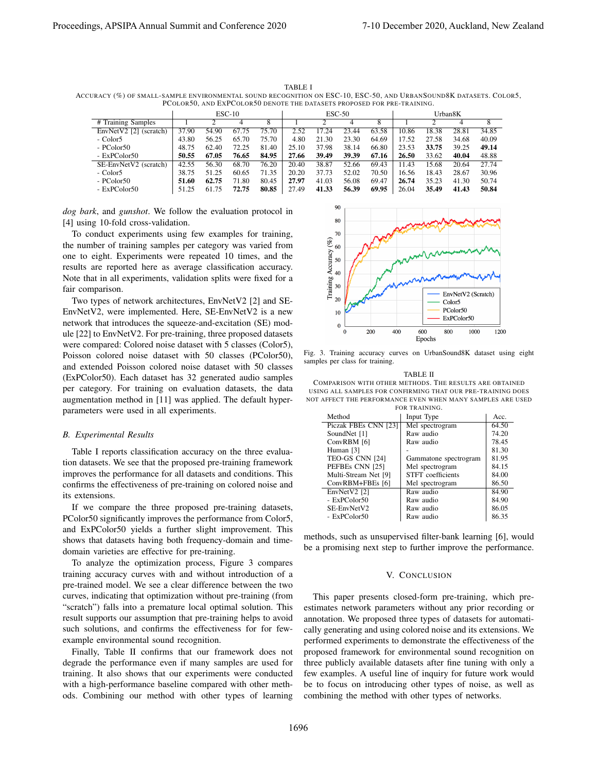TABLE I ACCURACY (%) OF SMALL-SAMPLE ENVIRONMENTAL SOUND RECOGNITION ON ESC-10, ESC-50, AND URBANSOUND8K DATASETS. COLOR5, PCOLOR50, AND EXPCOLOR50 DENOTE THE DATASETS PROPOSED FOR PRE-TRAINING.

|                        | $ESC-10$ |       |       |       | $ESC-50$ |       |       |       | Urban8K |       |       |       |
|------------------------|----------|-------|-------|-------|----------|-------|-------|-------|---------|-------|-------|-------|
| # Training Samples     |          |       |       | 8     |          |       |       | 8     |         |       |       |       |
| EnvNetV2 [2] (scratch) | 37.90    | 54.90 | 67.75 | 75.70 | 2.52     | 17.24 | 23.44 | 63.58 | 10.86   | 18.38 | 28.81 | 34.85 |
| - Color5               | 43.80    | 56.25 | 65.70 | 75.70 | 4.80     | 21.30 | 23.30 | 64.69 | 17.52   | 27.58 | 34.68 | 40.09 |
| $-$ PColor50           | 48.75    | 62.40 | 72.25 | 81.40 | 25.10    | 37.98 | 38.14 | 66.80 | 23.53   | 33.75 | 39.25 | 49.14 |
| - ExPColor50           | 50.55    | 67.05 | 76.65 | 84.95 | 27.66    | 39.49 | 39.39 | 67.16 | 26.50   | 33.62 | 40.04 | 48.88 |
| SE-EnvNetV2 (scratch)  | 42.55    | 56.30 | 68.70 | 76.20 | 20.40    | 38.87 | 52.66 | 69.43 | 11.43   | 15.68 | 20.64 | 27.74 |
| - Color5               | 38.75    | 51.25 | 60.65 | 71.35 | 20.20    | 37.73 | 52.02 | 70.50 | 16.56   | 18.43 | 28.67 | 30.96 |
| - PColor50             | 51.60    | 62.75 | 71.80 | 80.45 | 27.97    | 41.03 | 56.08 | 69.47 | 26.74   | 35.23 | 41.30 | 50.74 |
| - ExPColor50           | 51.25    | 61.75 | 72.75 | 80.85 | 27.49    | 41.33 | 56.39 | 69.95 | 26.04   | 35.49 | 41.43 | 50.84 |

*dog bark*, and *gunshot*. We follow the evaluation protocol in [4] using 10-fold cross-validation.

To conduct experiments using few examples for training, the number of training samples per category was varied from one to eight. Experiments were repeated 10 times, and the results are reported here as average classification accuracy. Note that in all experiments, validation splits were fixed for a fair comparison.

Two types of network architectures, EnvNetV2 [2] and SE-EnvNetV2, were implemented. Here, SE-EnvNetV2 is a new network that introduces the squeeze-and-excitation (SE) module [22] to EnvNetV2. For pre-training, three proposed datasets were compared: Colored noise dataset with 5 classes (Color5), Poisson colored noise dataset with 50 classes (PColor50), and extended Poisson colored noise dataset with 50 classes (ExPColor50). Each dataset has 32 generated audio samples per category. For training on evaluation datasets, the data augmentation method in [11] was applied. The default hyperparameters were used in all experiments.

## *B. Experimental Results*

Table I reports classification accuracy on the three evaluation datasets. We see that the proposed pre-training framework improves the performance for all datasets and conditions. This confirms the effectiveness of pre-training on colored noise and its extensions.

If we compare the three proposed pre-training datasets, PColor50 significantly improves the performance from Color5, and ExPColor50 yields a further slight improvement. This shows that datasets having both frequency-domain and timedomain varieties are effective for pre-training.

To analyze the optimization process, Figure 3 compares training accuracy curves with and without introduction of a pre-trained model. We see a clear difference between the two curves, indicating that optimization without pre-training (from "scratch") falls into a premature local optimal solution. This result supports our assumption that pre-training helps to avoid such solutions, and confirms the effectiveness for for fewexample environmental sound recognition.

Finally, Table II confirms that our framework does not degrade the performance even if many samples are used for training. It also shows that our experiments were conducted with a high-performance baseline compared with other methods. Combining our method with other types of learning



Fig. 3. Training accuracy curves on UrbanSound8K dataset using eight samples per class for training.

TABLE II COMPARISON WITH OTHER METHODS. THE RESULTS ARE OBTAINED USING ALL SAMPLES FOR CONFIRMING THAT OUR PRE-TRAINING DOES NOT AFFECT THE PERFORMANCE EVEN WHEN MANY SAMPLES ARE USED FOR TRAINING.

| Method               | Input Type               | Acc.  |
|----------------------|--------------------------|-------|
|                      |                          |       |
| Piczak FBEs CNN [23] | Mel spectrogram          | 64.50 |
| SoundNet [1]         | Raw audio                | 74.20 |
| ConvRBM [6]          | Raw audio                | 78.45 |
| Human [3]            |                          | 81.30 |
| TEO-GS CNN [24]      | Gammatone spectrogram    | 81.95 |
| PEFBEs CNN [25]      | Mel spectrogram          | 84.15 |
| Multi-Stream Net [9] | <b>STFT</b> coefficients | 84.00 |
| ConvRBM+FBEs [6]     | Mel spectrogram          | 86.50 |
| EnvNetV2 [2]         | Raw audio                | 84.90 |
| - ExPColor50         | Raw audio                | 84.90 |
| SE-EnvNetV2          | Raw audio                | 86.05 |
| $-$ ExPColor50       | Raw audio                | 86.35 |
|                      |                          |       |

methods, such as unsupervised filter-bank learning [6], would be a promising next step to further improve the performance.

### V. CONCLUSION

This paper presents closed-form pre-training, which preestimates network parameters without any prior recording or annotation. We proposed three types of datasets for automatically generating and using colored noise and its extensions. We performed experiments to demonstrate the effectiveness of the proposed framework for environmental sound recognition on three publicly available datasets after fine tuning with only a few examples. A useful line of inquiry for future work would be to focus on introducing other types of noise, as well as combining the method with other types of networks.